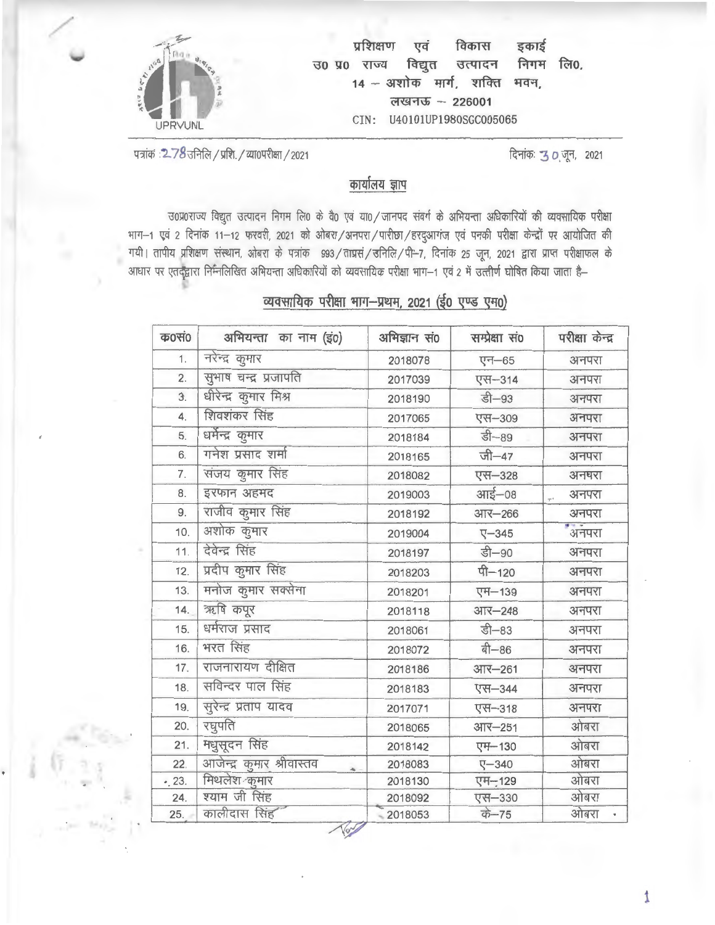

/

' •

,<br>प्रशिक्षण एवं विकास इकाई **\'J"O YO** ~ ~ **\-J~IC:--1 f.rip, ~O.**  14 -- अशोक मार्ग, शक्ति भवन, **(लखनऊ - 226001** CIN: U40101UP1980SGC005065

पत्रांक : 2 78 उनिलि / प्रशि. / व्या0परीक्षा / 2021 **विकास से से से से से से से से बा**रे कर रही है जो बाद कर रही

i<mark>401 कार्यालय ज्ञाप</mark><br>110% - कार्यालय विद्युत उत्पादन निगम लि0 के वै0 एवं या0/जानपद संवर्ग के अभियन्ता अधिकारियों की व्यवसायिक परीक्षा भाग-1 एवं 2 दिनांक 11-12 फरवरी, 2021 को ओबरा/अनपरा/पारीछा/हरदुआगंज एवं पनकी परीक्षा केन्द्रों पर आयोजित की Th211 तापीय प्रशिक्षण संस्थान, ओबरा के पत्रांक 993/ताप्रसं/उनिलि/पी-7, दिनांक 25 जून, 2021 द्वारा प्राप्त परीक्षाफल के आधार पर एतदृँद्वारा निम्नलिखित अभियन्ता अधिकारियों को व्यवसायिक परीक्षा भाग-1 एवं 2 में उत्तीर्ण घोषित किया जाता है-

| क0सं0 | अभियन्ता का नाम (इं0)     | अभिज्ञान सं0 | सम्प्रेक्षा सं0 | परीक्षा केन्द्र |
|-------|---------------------------|--------------|-----------------|-----------------|
| 1.    | नरेन्द्र कुमार            | 2018078      | एन-65           | अनपरा           |
| 2.    | सुभाष चन्द्र प्रजापति     | 2017039      | एस-314          | अनपरा           |
| 3.    | धीरेन्द्र कुमार मिश्र     | 2018190      | डी-93           | अनपरा           |
| 4.    | शिवशंकर सिंह              | 2017065      | एस-309          | अनपरा           |
| 5.    | धर्मेन्द्र कुमार          | 2018184      | डी-89           | अनपरा           |
| 6.    | गनेश प्रसाद शर्मा         | 2018165      | जी $-47$        | अनपरा           |
| 7.    | संजय कुमार सिंह           | 2018082      | एस-328          | अनघरा           |
| 8.    | इरफान अहमद                | 2019003      | आई-08           | अनपरा           |
| 9.    | राजीव कुमार सिंह          | 2018192      | आर-266          | अनपरा           |
| 10.   | अशोक कुमार                | 2019004      | $\nabla - 345$  | ्<br>अनेपरा     |
| 11.   | देवेन्द्र सिंह            | 2018197      | डी-90           | अनपरा           |
| 12.   | प्रदीप कुमार सिंह         | 2018203      | पी-120          | अनपरा           |
| 13.   | मनोज कुमार सक्सेना        | 2018201      | एम-139          | अनपरा           |
| 14.   | ऋषि कपूर                  | 2018118      | आर-248          | अनपरा           |
| 15.   | धर्मराज प्रसाद            | 2018061      | डी-83           | अनपरा           |
| 16.   | भरत सिंह                  | 2018072      | बी-86           | अनपरा           |
| 17.   | राजनारायण दीक्षित         | 2018186      | आर-261          | अनपरा           |
| 18.   | सविन्दर पाल सिंह          | 2018183      | एस-344          | अनपरा           |
| 19.   | सुरेन्द्र प्रताप यादव     | 2017071      | एस-318          | अनपरा           |
| 20.   | रघुपति                    | 2018065      | आर-251          | ओबरा            |
| 21.   | मधुसूदन सिंह              | 2018142      | एम-130          | ओबरा            |
| 22.   | आजेन्द्र कुमार श्रीवास्तव | 2018083      | $\nabla - 340$  | ओबरा            |
| .23.  | मिथलेश कुमार              | 2018130      | एम-129          | ओबरा            |
| 24.   | श्याम जी सिंह             | 2018092      | एस-330          | ओबरा            |
| 25.   | कालीदास सिंह              | 2018053      | के-75           | ओबरा            |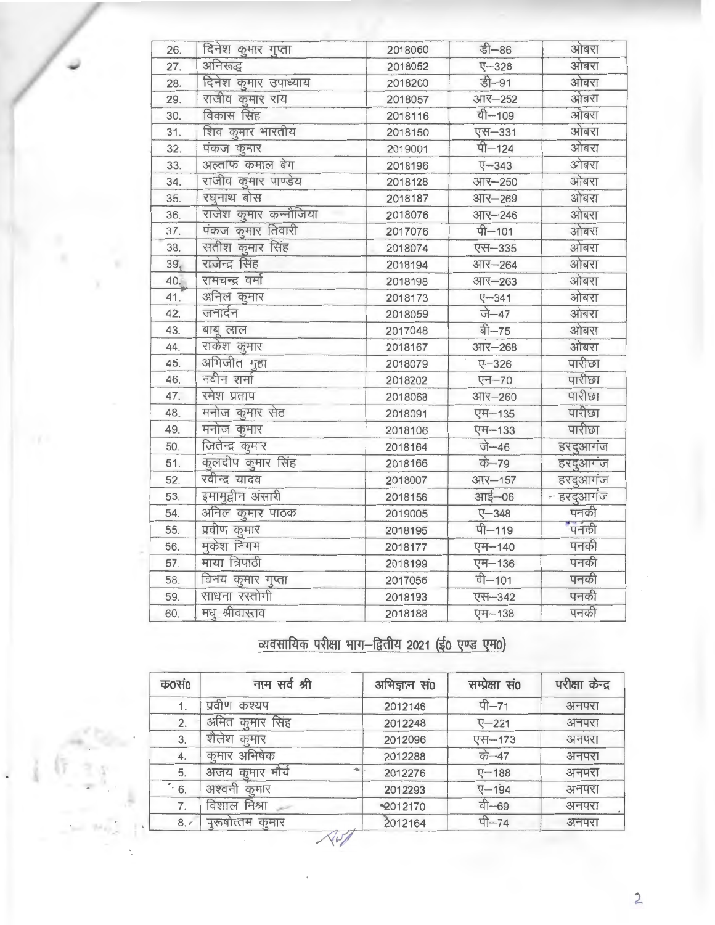| 26. | दिनेश कुमार गुप्ता    | 2018060 | डी-86              | ओबरा       |
|-----|-----------------------|---------|--------------------|------------|
| 27. | अनिरूद्ध              | 2018052 | $\nabla - 328$     | ओबरा       |
| 28. | दिनेश कुमार उपाध्याय  | 2018200 | डी-91              | ओबरा       |
| 29. | राजीव कुमार राय       | 2018057 | आर-252             | ओबरा       |
| 30. | विकास सिंह            | 2018116 | वी-109             | ओबरा       |
| 31. | शिव कुमार भारतीय      | 2018150 | एस-331             | ओबरा       |
| 32. | पंकज कुमार            | 2019001 | पी-124             | ओबरा       |
| 33. | अल्ताफ कमाल बेग       | 2018196 | $\nabla - 343$     | ओबरा       |
| 34. | राजीव कुमार पाण्डेय   | 2018128 | आर-250             | ओबरा       |
| 35. | रघनाथ बोस             | 2018187 | आर-269             | ओबरा       |
| 36. | राजेश कुमार कन्नौजिया | 2018076 | आर-246             | ओबरा       |
| 37. | पंकज कुमार तिवारी     | 2017076 | पी-101             | ओबरा       |
| 38. | सतीश कुमार सिंह       | 2018074 | एस-335             | ओबरा       |
| 39, | राजेन्द्र सिंह        | 2018194 | आर-264             | ओबरा       |
| 40. | रामचन्द्र वर्मा       | 2018198 | आर-263             | ओबरा       |
| 41. | अनिल कुमार            | 2018173 | $\nabla - 341$     | ओबरा       |
| 42. | जनार्दन               | 2018059 | जे-47              | ओबरा       |
| 43. | बाबू लाल              | 2017048 | बी-75              | ओबरा       |
| 44. | राकेश कुमार           | 2018167 | आर-268             | ओबरा       |
| 45. | अभिजीत गुहा           | 2018079 | $\nabla - 326$     | पारीछा     |
| 46. | नवीन शर्मा            | 2018202 | एन-70              | पारीछा     |
| 47. | रमेश प्रताप           | 2018068 | आर-260             | पारीछा     |
| 48. | मनोज कुमार सेठ        | 2018091 | एम-135             | पारीछा     |
| 49. | मनोज कुमार            | 2018106 | एम-133             | पारीछा     |
| 50. | जितेन्द्र कुमार       | 2018164 | $\overline{v}$ -46 | हरदुआगंज   |
| 51. | कुलदीप कुमार सिंह     | 2018166 | के-79              | हरदुआगंज   |
| 52. | रवीन्द्र यादव         | 2018007 | आर-157             | हरदुआगंज   |
| 53. | इमामुद्दीन अंसारी     | 2018156 | आई-06              | - हरदुआगंज |
| 54. | अनिल कुमार पाठक       | 2019005 | $\nabla - 348$     | पनकी       |
| 55. | प्रवीण कुमार          | 2018195 | पी-119             | पनकी       |
| 56. | मुकेश निगम            | 2018177 | एम-140             | पनकी       |
| 57. | माया त्रिपाठी         | 2018199 | एम-136             | पनकी       |
| 58. | विनय कुमार गुप्ता     | 2017056 | वी-101             | पनकी       |
| 59. | साधना रस्तोगी         | 2018193 | एस-342             | पनकी       |
| 60. | मधु श्रीवास्तव        | 2018188 | एम-138             | पनकी       |

# व्यवसायिक परीक्षा भाग-द्वितीय 2021 (ई0 एण्ड एम0)

| क0सं0      | नाम सर्व श्री    | अभिज्ञान सं0 | सम्प्रेक्षा सं0          | परीक्षा केन्द्र |
|------------|------------------|--------------|--------------------------|-----------------|
| 1.         | प्रवीण कश्यप     | 2012146      | पी-71                    | अनपरा           |
| 2.         | अमित कुमार सिंह  | 2012248      | $\nabla - 221$           | अनपरा           |
| 3.         | शैलेश<br>कुमार   | 2012096      | एस-173                   | अनपरा           |
| 4.         | कुमार अभिषेक     | 2012288      | $\overrightarrow{q}$ -47 | अनपरा           |
| 5.         | अजय कुमार मौर्य  | 2012276      | $\nabla - 188$           | अनपरा           |
| $\cdot$ 6. | अश्वनी कुमार     | 2012293      | $\nabla - 194$           | अनपरा           |
| 7.         | विशाल मिश्रा     | 2012170      | वी-69                    | अनपरा           |
| 8,4        | पुरूषोत्तम कुमार | 2012164      | पी-74                    | अनपरा           |

' •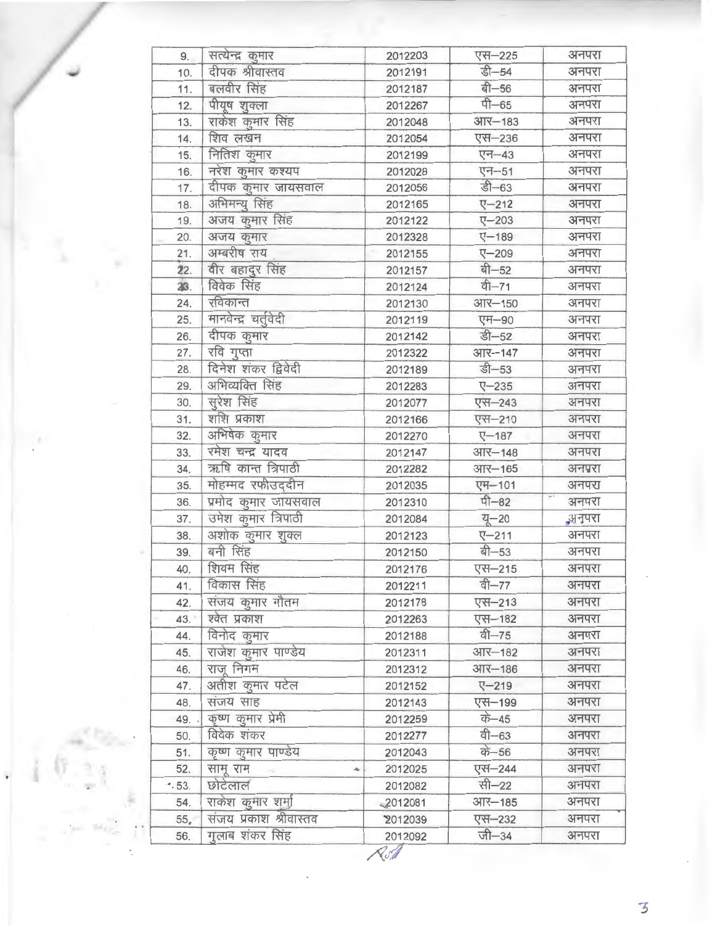| 9.      | सत्येन्द्र कुमार       | 2012203 | एस-225            | अनपरा          |
|---------|------------------------|---------|-------------------|----------------|
| 10.     | दीपक श्रीवास्तव        | 2012191 | डी-54             | अनपरा          |
| 11.     | बलवीर सिंह             | 2012187 | बी-56             | अनपरा          |
| 12.     | पीयूष शुक्ला           | 2012267 | पी-65             | अनपरा          |
| 13.     | राकेश कुमार सिंह       | 2012048 | आर-183            | अनपरा          |
| 14.     | शिव लखन                | 2012054 | एस-236            | अनपरा          |
| 15.     | नितिश कुमार            | 2012199 | एन-43             | अनपरा          |
| 16.     | नरेश कुमार कश्यप       | 2012028 | एन-51             | अनपरा          |
| 17.     | दीपक कुमार जायसवाल     | 2012056 | डी-63             | अनपरा          |
| 18.     | अभिमन्यू सिंह          | 2012165 | $\nabla - 212$    | अनपरा          |
| 19.     | अजय कुमार सिंह         | 2012122 | $\nabla - 203$    | अनपरा          |
| 20.     | अजय कुमार              | 2012328 | $\nabla - 189$    | अनपरा          |
| 21.     | अम्बरीष राय            | 2012155 | $\nabla - 209$    | अनपरा          |
| 22.     | वीर बहादुर सिंह        | 2012157 | बी-52             | अनपरा          |
| 23.     | विवेक सिंह             | 2012124 | वी-71             | अनपरा          |
| 24.     | रविकान्त               | 2012130 | आर-150            | अनपरा          |
| 25.     | मानवेन्द्र चर्तुवेदी   | 2012119 | एम-90             | अनपरा          |
| 26.     | दीपक कुमार             | 2012142 | डी-52             | अनपरा          |
| 27.     | रवि गुप्ता             | 2012322 | आर-147            | अनपरा          |
| 28.     | दिनेश शंकर द्विवेदी    | 2012189 | $\overline{5}-53$ | अनपरा          |
| 29.     | अभिव्यक्ति सिंह        | 2012283 | $\nabla - 235$    | अनपरा          |
| 30.     | सुरेश सिंह             | 2012077 | एस-243            | अनपरा          |
| 31.     | शशि प्रकाश             | 2012166 | एस-210            | अनपरा          |
| 32.     | अभिषेक कुमार           | 2012270 | $\nabla - 187$    | अनपरा          |
| 33.     | रमेश चन्द्र यादव       | 2012147 | आर-148            | अनपरा          |
| 34.     | ऋषि कान्त त्रिपाठी     | 2012282 | आर-165            | अनपुरा         |
| 35.     | मोहम्मद रफीउददीन       | 2012035 | एम-101            | अनपरा          |
| 36.     | प्रमोद कुमार जायसवाल   | 2012310 | पी-82             | ÷,<br>अनपरा    |
| 37.     | उमेश कुमार त्रिपाठी    | 2012084 | यू-20             | <u> अनुपरा</u> |
| 38.     | अशोक कुमार शुक्ल       | 2012123 | $\nabla - 211$    | अनपरा          |
| 39.     | बनी सिंह               | 2012150 | बी-53             | अनपरा          |
| 40.     | शिवम सिंह              | 2012176 | एस-215            | अनपरा          |
| 41.     | विकास सिंह             | 2012211 | वी—77             | अनपरा          |
| 42.     | संजय कुमार गौतम        | 2012178 | एस-213            | अनपरा          |
| 43.     | श्वेत प्रकाश           | 2012263 | एस-182            | अनपरा          |
| 44.     | विनोद कुमार            | 2012188 | वी-75             | अनपरा          |
| 45.     | राजेश कुमार पाण्डेय    | 2012311 | आर-182            | अनपरा          |
| 46.     | राजू निगम              | 2012312 | आर-186            | अनपरा          |
| 47.     | अतीश कुमार पटेल        | 2012152 | $\nabla - 219$    | अनपरा          |
| 48.     | संजय साह               | 2012143 | एस-199            | अनपरा          |
| 49.     | कृष्ण कुमार प्रेमी     | 2012259 | के-45             | अनपरा          |
| 50.     | विवेक शंकर             | 2012277 | वी–63             | अनपरा          |
| 51.     | कृष्ण कुमार पाण्डेय    | 2012043 | के-56             | अनपरा          |
| 52.     | सामू राम<br>٠          | 2012025 | एस-244            | अनपरा          |
| $*.53.$ | छोटेलाल                | 2012082 | सी–22             | अनपरा          |
| 54.     | राकेश कुमार शर्मा      | 2012081 | आर-185            | अनपरा          |
| 55.     | संजय प्रकाश श्रीवास्तव | 2012039 | एस-232            | अनपरा          |
| 56.     | गुलाब शंकर सिंह        | 2012092 | $\sqrt{1 - 34}$   | अनपरा          |

 $\sqrt{\sqrt{4}}$ 

3

' •

 $\frac{1}{2}$  $\ddot{\phantom{0}}$ 

 $\ddot{\phantom{0}}$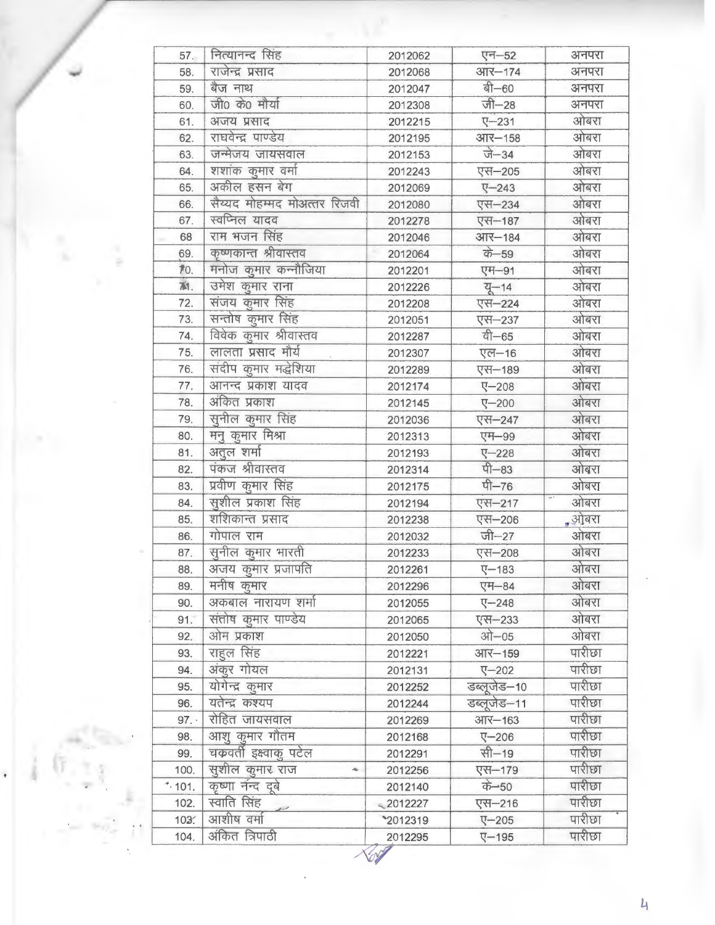| 57.      | नित्यानन्द सिंह              | 2012062    | एन-52                     | अनपरा  |
|----------|------------------------------|------------|---------------------------|--------|
| 58.      | राजेन्द्र प्रसाद             | 2012068    | $317 - 174$               | अनपरा  |
| 59.      | बैज नाथ                      | 2012047    | बी-60                     | अनपरा  |
| 60.      | जी0 के0 मौर्या               | 2012308    | जी-28                     | अनपरा  |
| 61.      | अजय प्रसाद                   | 2012215    | $\nabla - 231$            | ओबरा   |
| 62.      | राघवेन्द्र पाण्डेय           | 2012195    | आर-158                    | ओबरा   |
| 63.      | जन्मेजय जायसवाल              | 2012153    | $\overrightarrow{v}$ - 34 | ओबरा   |
| 64.      | शशांक कुमार वर्मा            | 2012243    | एस-205                    | ओबरा   |
| 65.      | अकील हसन बेग                 | 2012069    | $\nabla - 243$            | ओबरा   |
| 66.      | सैय्यद मोहम्मद मोअत्तर रिजवी | 2012080    | एस-234                    | ओबरा   |
| 67.      | स्वप्निल यादव                | 2012278    | एस-187                    | ओबरा   |
| 68       | राम भजन सिंह                 | 2012046    | आर-184                    | ओबरा   |
| 69.      | कृष्णकान्त श्रीवास्तव        | 2012064    | के-59                     | ओबरा   |
| 70.      | मनोज कुमार कन्नौजिया         | 2012201    | एम-91                     | ओबरा   |
| 涵.       | उमेश कुमार राना              | 2012226    | $4 - 14$                  | ओबरा   |
| 72.      | संजय कुमार सिंह              | 2012208    | एस-224                    | ओबरा   |
| 73.      | सन्तोष कुमार सिंह            | 2012051    | एस-237                    | ओबरा   |
| 74.      | विवेक कुमार श्रीवास्तव       | 2012287    | वी-65                     | ओबरा   |
| 75.      | लालता प्रसाद मौर्य           | 2012307    | एल-16                     | ओबरा   |
| 76.      | संदीप कुमार मद्धेशिया        | 2012289    | एस-189                    | ओबरा   |
| 77.      | आनन्द प्रकाश यादव            | 2012174    | $\nabla - 208$            | ओबरा   |
| 78.      | अंकित प्रकाश                 | 2012145    | <b>V-200</b>              | ओबरा   |
| 79.      | सुनील कुमार सिंह             | 2012036    | एस-247                    | ओबरा   |
| 80.      | मनु कुमार मिश्रा             | 2012313    | एम-99                     | ओबरा   |
| 81.      | अतुल शर्मा                   | 2012193    | $\nabla - 228$            | ओबरा   |
| 82.      | पंकज श्रीवास्तव              | 2012314    | पी-83                     | ओबरा   |
| 83.      | प्रवीण कुमार सिंह            | 2012175    | पी-76                     | ओबरा   |
| 84.      | सुशील प्रकाश सिंह            | 2012194    | एस-217                    | ओबरा   |
| 85.      | शशिकान्त प्रसाद              | 2012238    | एस-206                    | , ओबरा |
| 86.      | गोपाल राम                    | 2012032    | $\overline{u}$ –27        | ओबरा   |
| 87.      | सुनील कुमार भारती            | 2012233    | एस-208                    | ओबरा   |
| 88.      | अजय कुमार प्रजापति           | 2012261    | $\nabla - 183$            | ओबरा   |
| 89.      | मनीष कुमार                   | 2012296    | एम-84                     | ओबरा   |
| 90.      | अकबाल नारायण शर्मा           | 2012055    | $\nabla - 248$            | ओबरा   |
| 91.7     | संतोष कुमार पाण्डेय          | 2012065    | एस-233                    | ओबरा   |
| 92.      | ओम प्रकाश                    | 2012050    | $31 - 05$                 | ओबरा   |
| 93.      | राहुल सिंह                   | 2012221    | आर-159                    | पारीछा |
| 94.      | अंकूर गोयल                   | 2012131    | $\nabla - 202$            | पारीछा |
| 95.      | योगेन्द्र कुमार              | 2012252    | डब्लूजेड–10               | पारीछा |
| 96.      | यतेन्द्र कश्यप               | 2012244    | डब्लूजेड–11               | पारीछा |
| 97.      | रोहित जायसवाल                | 2012269    | आर-163                    | पारीछा |
| 98.      | आशू कुमार गौतम               | 2012168    | $\nabla - 206$            | पारीछा |
| 99.      | चकवर्ती इक्ष्वाकु पटेल       | 2012291    | सी-19                     | पारीछा |
| 100.     | सुशील कुमार राज<br>٠         | 2012256    | एस-179                    | पारीछा |
| $-.101.$ | कृष्णा नन्द दूबे             | 2012140    | के-50                     | पारीछा |
| 102.     | स्वाति सिंह                  | $-2012227$ | एस-216                    | पारीछा |
| 103.     | आशीष वर्मा                   | 2012319    | $\nabla - 205$            | पारीछा |
| 104.     | अंकित त्रिपाठी               | 2012295    | $\nabla - 195$            | पारीछा |

' •

 $\ddot{\phantom{a}}$ 

 $\mathbf{4}$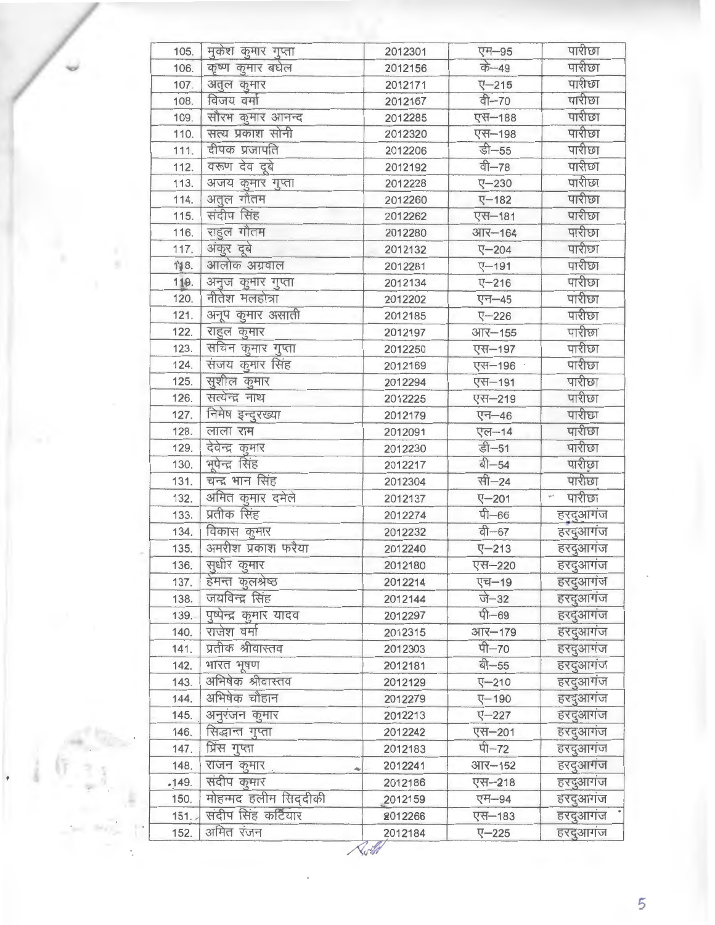| 105.     | मुकेश कुमार गुप्ता     | 2012301      | एम-95                     | पारीछा                |
|----------|------------------------|--------------|---------------------------|-----------------------|
| 106.     | कृष्ण कुमार बघेल       | 2012156      | $\overrightarrow{q}$ -49  | पारीछा                |
| 107.     | अतुल कुमार             | 2012171      | $\nabla - 215$            | पारीछा                |
| 108.     | विजय वर्मा             | 2012167      | वी-70                     | पारीछा                |
| 109.     | सौरभ कुमार आनन्द       | 2012285      | एस-188                    | पारीछा                |
| 110.     | सत्य प्रकाश सोनी       | 2012320      | एस-198                    | पारीछा                |
| 111.     | दीपक प्रजापति          | 2012206      | डी-55                     | पारीछा                |
| 112.     | वरूण देव दुबे          | 2012192      | वी—78                     | पारीछा                |
| 113.     | अजय कुमार गुप्ता       | 2012228      | $\nabla - 230$            | पारीछा                |
| 114.     | अतुल गौतम              | 2012260      | $\nabla - 182$            | पारीछा                |
| 115.     | संदीप सिंह             | 2012262      | एस-181                    | पारीछा                |
| 116.     | राहुल गौतम             | 2012280      | आर-164                    | पारीछा                |
| 117.     | अंकुर दुबे             | 2012132      | $\nabla - 204$            | पारीछा                |
| 118.     | आलोक अग्रवाल           | 2012281      | $\nabla - 191$            | पारीछा                |
| 119.     | अनुज कुमार गुप्ता      | 2012134      | $\nabla - 216$            | पारीछा                |
| 120.     | नीतेश मलहोत्रा         | 2012202      | एन-45                     | पारीछा                |
| 121.     | अनूप कुमार असाती       | 2012185      | $\nabla - 226$            | पारीछा                |
| 122.     | राहुल कुमार            | 2012197      | आर-155                    | पारीछा                |
| 123.     | सचिन कुमार गुप्ता      | 2012250      | एस-197                    | पारीछा                |
| 124.     | संजय कुमार सिंह        | 2012169      | एस-196                    | पारीछा                |
| 125.     | सुशील कुमार            | 2012294      | एस-191                    | पारीछा                |
| 126.     | सत्येन्द्र नाथ         | 2012225      | एस-219                    | पारीछा                |
| 127.     | निमेष इन्दुरख्या       | 2012179      | एन-46                     | पारीछा                |
| 128.     | लाला राम               | 2012091      | एल-14                     | पारीछा                |
| 129.     | देवेन्द्र कुमार        | 2012230      | डी-51                     | पारीछा                |
| 130.     | भूपेन्द्र सिंह         | 2012217      | बी-54                     | पारीछा                |
| 131.     | चन्द्र भान सिंह        | 2012304      | सी-24                     | पारीछा                |
| 132.     | अमित कुमार दमेले       | 2012137      | <b>マー201</b>              | पारीछा<br>$\varphi^4$ |
| 133.     | प्रतीक सिंह            | 2012274      | पी-66                     | हरदुआगंज              |
| 134.     | विकास कुमार            | 2012232      | वी-67                     | हरदुआगंज              |
| 135.     | अमरीश प्रकाश फरैया     | 2012240      | $\nabla - 213$            | हरदुआगंज              |
| 136.     | सुधीर कुमार            | 2012180      | एस-220                    | हरदुआगंज              |
| 137.     | हेमन्त कुलश्रेष्ठ      | 2012214      | एच-19                     | हरदुआगंज              |
| 138.     | जयविन्द्र सिंह         | 2012144      | $\overrightarrow{v}$ – 32 | हरदुआगंज              |
| $139. -$ | पुष्पेन्द्र कुमार यादव | 2012297      | पी-69                     | हरदुआगंज              |
| 140.     | राजेश वर्मा            | 2012315      | आर-179                    | हरदुआगंज              |
| 141.     | प्रतीक श्रीवास्तव      | 2012303      | पी-70                     | हरदुआगंज              |
| 142.     | भारत भूषण              | 2012181      | बी-55                     | हरदुआगंज              |
| 143.     | अभिषेक श्रीवास्तव      | 2012129      | $\nabla - 210$            | हरदुआगंज              |
| 144.     | अभिषेक चौहान           | 2012279      | <b>マー190</b>              | हरदुआगंज              |
| 145.     | अनुरंजन कुमार          | 2012213      | $\nabla - 227$            | हरदुआगंज              |
| 146.     | सिद्धान्त गुप्ता       | 2012242      | एस-201                    | हरदुआगंज              |
| 147.     | प्रिंस गुप्ता          | 2012183      | पी-72                     | हरदुआगंज              |
| 148.     | राजन कुमार             | 2012241<br>۰ | आर-152                    | हरदुआगंज              |
| .149.    | संदीप कुमार            | 2012186      | एस-218                    | हरदुआगंज              |
| 150.     | मोहम्मद हलीम सिद्दीकी  | 2012159      | एम–94                     | हरदुआगंज              |
| 151.7    | संदीप सिंह कटियार      | 2012266      | एस-183                    | हरदुआगंज              |
| 152.     | अमित रंजन              | 2012184      | $\nabla - 225$            | हरदुआगंज              |
|          |                        | Suth         |                           |                       |

' •

š

..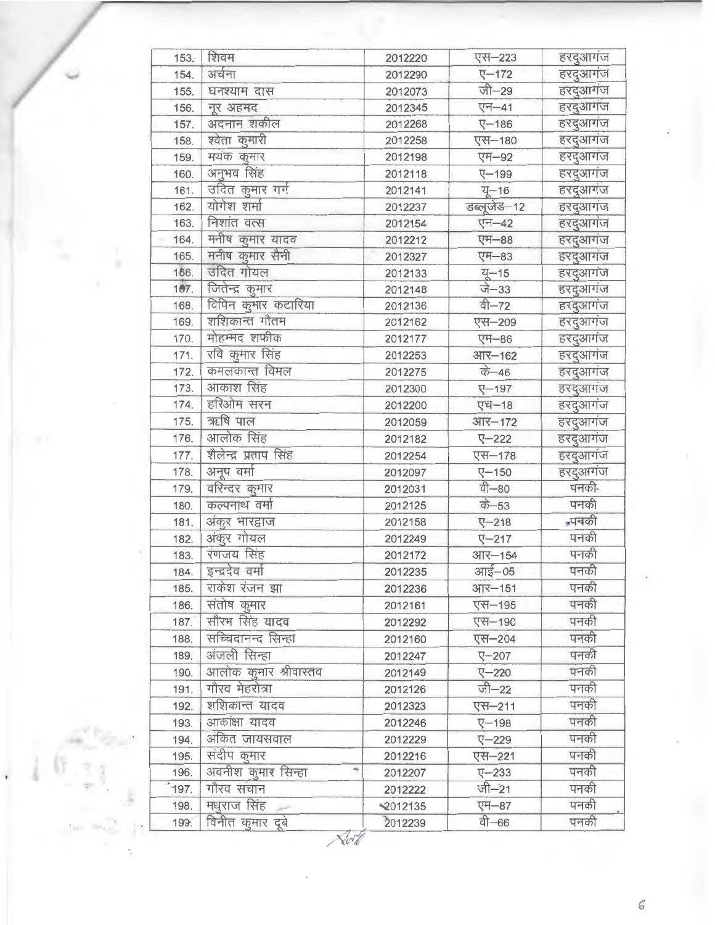| 153.    | शिवम                    | 2012220    | एस-223          | हरदुआगंज      |
|---------|-------------------------|------------|-----------------|---------------|
| 154.    | अर्चना                  | 2012290    | $\nabla - 172$  | हरदुआगंज      |
| 155.    | घनश्याम दास             | 2012073    | जी-29           | हरदुआगंज      |
| 156.    | नूर अहमद                | 2012345    | एन-41           | हरदुआगंज      |
| 157.    | अदनान शकील              | 2012268    | $\nabla - 186$  | हरदुआगंज      |
| 158.    | श्वेता कुमारी           | 2012258    | एस-180          | हरदुआगंज      |
| 159.    | मयंक कुमार              | 2012198    | एम-92           | हरदुआगंज      |
| 160.    | अनुभव सिंह              | 2012118    | <b>V-199</b>    | हरदुआगंज      |
| 161.    | उदित कुमार गर्ग         | 2012141    | यू-16           | हरदुआगंज      |
| 162.    | योगेश शर्मा             | 2012237    | डब्लूजेड–12     | हरदुआगंज      |
| 163.    | निशांत वर्त्स           | 2012154    | एन-42           | हरदुआगंज      |
| 164.    | मनीष कुमार यादव         | 2012212    | एम-88           | हरदुआगंज      |
| 165.    | मनीष कुमार सैनी         | 2012327    | एम-83           | हरदुआगंज      |
| 166.    | उदित गोयल               | 2012133    | यू-15           | हरदुआगंज      |
| 107.    | जितेन्द्र कुमार         | 2012148    | जे-33           | हरदुआगंज      |
| 168.    | विपिन कुमार कटारिया     | 2012136    | वी-72           | हरदुआगंज      |
| 169.    | शशिकान्त गौतम           | 2012162    | एस-209          | हरदुआगंज      |
| 170.    | मोहम्मद शफीक            | 2012177    | एम-86           | हरदुआगंज      |
| 171.    | रवि कुमार सिंह          | 2012253    | आर-162          | हरदुआगंज      |
| 172.    | कमलकान्त विमल           | 2012275    | के-46           | हरदुआगंज      |
| 173.    | आकाश सिंह               | 2012300    | $\nabla - 197$  | हरदुआगंज      |
| 174.    | हरिओम सरन               | 2012200    | एच-18           | हरदुआगंज      |
| 175.    | ऋषि पाल                 | 2012059    | आर-172          | हरदुआगंज      |
| 176.    | आलोक सिंह               | 2012182    | $\nabla - 222$  | हरदुआगंज      |
| 177.    | शैलेन्द्र प्रताप सिंह   | 2012254    | एस-178          | हरदुआगंज      |
| 178.    | अनूप वर्मा              | 2012097    | $\nabla - 150$  | हरदुआगंज      |
| 179.    | वरिन्दर कुमार           | 2012031    | वी-80           | पनकी-         |
| 180.    | कल्पनाथ वर्मा           | 2012125    | के $-53$        | पनकी          |
| 181.    | अंकुर भारद्वाज          | 2012158    | $\nabla - 218$  | <u>-</u> पनकी |
|         | अंकुर गोयल              |            |                 | पनकी          |
| 182.    | रणजय सिंह               | 2012249    | $\nabla - 217$  | पनकी          |
| 183.    | इन्द्रदेव वर्मा         | 2012172    | आर-154<br>आई-05 | पनकी          |
| 184.    |                         | 2012235    |                 | पनकी          |
| 185.    | राकेश रंजन झा           | 2012236    | आर-151          |               |
| 186.    | संतोष कुमार             | 2012161    | एस-195          | पनकी          |
| 187.    | सौरभ सिंह यादव          | 2012292    | एस-190          | पनकी          |
| 188.    | सच्चिदानन्द सिन्हा      | 2012160    | एस-204          | पनकी          |
| 189.    | अंजली सिन्हा            | 2012247    | $\nabla - 207$  | पनकी          |
| 190.    | आलोक कुमार श्रीवास्तव   | 2012149    | $\nabla - 220$  | पनकी          |
| 191.    | गौरव मेहरोत्रा          | 2012126    | जी-22           | पनकी          |
| 192.    | शशिकान्त यादव           | 2012323    | एस-211          | पनकी          |
| 193.    | आकांक्षा यादव           | 2012246    | $\nabla - 198$  | पनकी          |
| 194.    | अंकित जायसवाल           | 2012229    | $\nabla - 229$  | पनकी          |
| 195.    | संदीप कुमार             | 2012216    | एस-221          | पनकी          |
| 196.    | अवनीश कुमार सिन्हा<br>۰ | 2012207    | $\nabla - 233$  | पनकी          |
| $-197.$ | गौरव सचान               | 2012222    | जी-21           | पनकी          |
| 198.    | मधुराज सिंह             | $-2012135$ | एम-87           | पनकी          |
| 199.    | विनीत कुमार दूबे        | 2012239    | वी-66           | पनकी          |

l.

 $\boldsymbol{\zeta}$